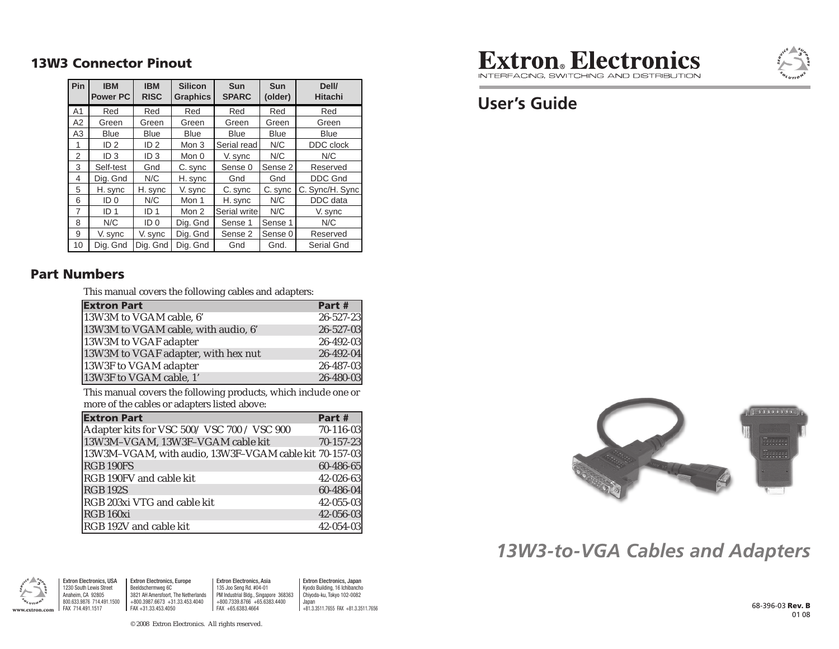#### **13W3 Connector Pinout**

| Pin            | <b>IBM</b><br><b>Power PC</b> | <b>IBM</b><br><b>RISC</b> | <b>Silicon</b><br><b>Graphics</b> | <b>Sun</b><br><b>SPARC</b> | <b>Sun</b><br>(older) | Dell/<br><b>Hitachi</b> |
|----------------|-------------------------------|---------------------------|-----------------------------------|----------------------------|-----------------------|-------------------------|
| A <sub>1</sub> | Red                           | Red                       | Red                               | Red                        | Red                   | Red                     |
| A2             | Green                         | Green                     | Green                             | Green                      | Green                 | Green                   |
| A3             | <b>Blue</b>                   | <b>Blue</b>               | <b>Blue</b>                       | <b>Blue</b>                | Blue                  | <b>Blue</b>             |
| 1              | ID <sub>2</sub>               | ID <sub>2</sub>           | Mon 3                             | Serial read                | N/C                   | DDC clock               |
| 2              | ID <sub>3</sub>               | ID <sub>3</sub>           | Mon 0                             | V. sync                    | N/C                   | N/C                     |
| 3              | Self-test                     | Gnd                       | C. sync                           | Sense 0                    | Sense 2               | Reserved                |
| 4              | Dig. Gnd                      | N/C                       | H. sync                           | Gnd                        | Gnd                   | <b>DDC Gnd</b>          |
| 5              | H. sync                       | H. sync                   | V. sync                           | C. sync                    | C. sync               | C. Sync/H. Sync         |
| 6              | ID <sub>0</sub>               | N/C                       | Mon 1                             | H. sync                    | N/C                   | DDC data                |
| 7              | ID <sub>1</sub>               | ID <sub>1</sub>           | Mon 2                             | Serial write               | N/C                   | V. sync                 |
| 8              | N/C                           | ID <sub>0</sub>           | Dig. Gnd                          | Sense 1                    | Sense 1               | N/C                     |
| 9              | V. sync                       | V. sync                   | Dig. Gnd                          | Sense 2                    | Sense 0               | Reserved                |
| 10             | Dig. Gnd                      | Dig. Gnd                  | Dig. Gnd                          | Gnd                        | Gnd.                  | Serial Gnd              |

#### **Part Numbers**

This manual covers the following cables and adapters:

| <b>Extron Part</b>                  | Part #          |
|-------------------------------------|-----------------|
| 13W3M to VGAM cable, 6'             | $26 - 527 - 23$ |
| 13W3M to VGAM cable, with audio, 6' | 26-527-03       |
| 13W3M to VGAF adapter               | 26-492-03       |
| 13W3M to VGAF adapter, with hex nut | 26-492-04       |
| 13W3F to VGAM adapter               | 26-487-03       |
| 13W3F to VGAM cable, 1'             | 26-480-03       |

This manual covers the following products, which include one or more of the cables or adapters listed above:

| <b>Extron Part</b>                                       | Part #          |
|----------------------------------------------------------|-----------------|
| Adapter kits for VSC 500/VSC 700 / VSC 900               | $70 - 116 - 03$ |
| 13W3M-VGAM, 13W3F-VGAM cable kit                         | $70 - 157 - 23$ |
| [13W3M-VGAM, with audio, 13W3F-VGAM cable kit 70-157-03] |                 |
| RGB 190FS                                                | 60-486-65       |
| RGB 190FV and cable kit                                  | 42-026-63       |
| <b>RGB 192S</b>                                          | 60-486-04       |
| RGB 203xi VTG and cable kit                              | $42 - 055 - 03$ |
| RGB 160xi                                                | 42-056-03       |
| RGB 192V and cable kit                                   | 42-054-03       |



INTEREACING SWITCHING AND DISTRIBLITION

## **User's Guide**



# *13W3-to-VGA Cables and Adapters*



Extron Electronics, USA 1230 South Lewis StreetAnaheim, CA 92805 800.633.9876 714.491.1500 FAX 714.491.1517Extron Electronics, Europe Beeldschermweg 6C 3821 AH Amersfoort, The Netherlands +800.3987.6673 +31.33.453.4040FAX +31.33.453.40501900.633.9876 114.491.1500 | +800.3987.6673 +31.33.453.4040 | +800.7339.8766 +65.6383.4400 | Japan<br>FAX +11.3.3511.7655 FAX +81.33.511.7656 FAX +81.33.511.7656 FAX +81.3.3511.7656 FAX +81.3.3511.7655 FAX +81.3.

Extron Electronics, Asia 135 Joo Seng Rd. #04-01 PM Industrial Bldg., Singapore 368363 +800.7339.8766 +65.6383.4400 FAX +65.6383.4664

Extron Electronics, Japan Kyodo Building, 16 Ichibancho Chiyoda-ku, Tokyo 102-0082